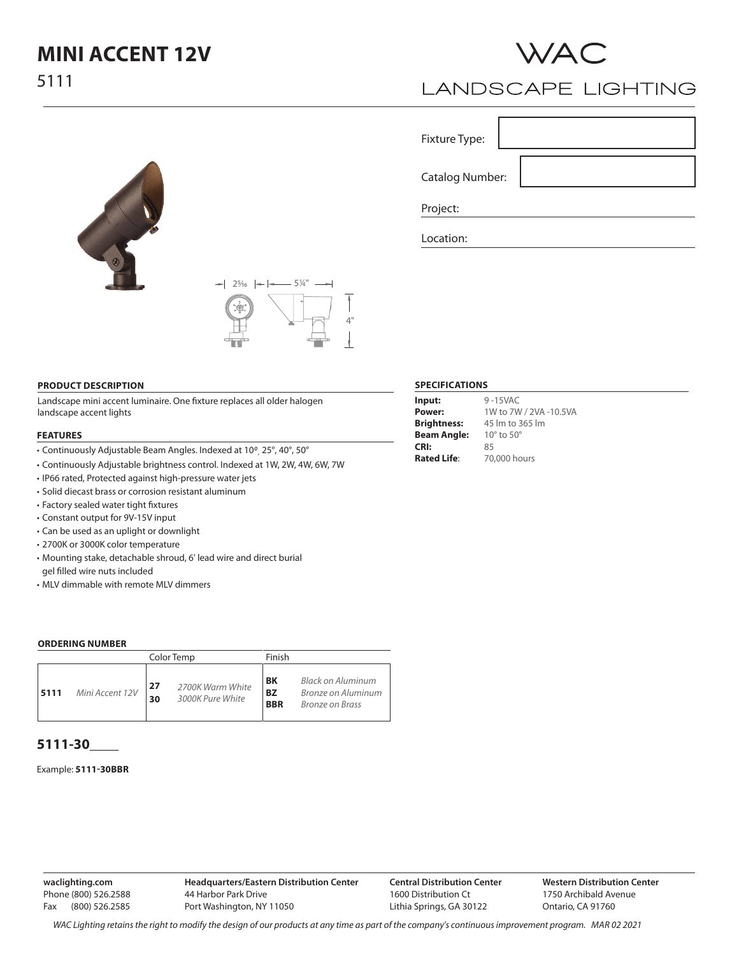

# **LANDSCAPE LIGHTING**

Fixture Type:

Catalog Number:

Project:

Location:

**PRODUCT DESCRIPTION**

Landscape mini accent luminaire. One fixture replaces all older halogen landscape accent lights

#### **FEATURES**

- Continuously Adjustable Beam Angles. Indexed at 10*0 ,* 25°, 40°, 50°
- Continuously Adjustable brightness control. Indexed at 1W, 2W, 4W, 6W, 7W

 $-$  2<sup>5</sup>/<sub>16</sub>  $-$  5<sup>1/4</sup>

4"

- IP66 rated, Protected against high-pressure water jets
- Solid diecast brass or corrosion resistant aluminum
- Factory sealed water tight fixtures
- Constant output for 9V-15V input
- Can be used as an uplight or downlight
- 2700K or 3000K color temperature
- Mounting stake, detachable shroud, 6' lead wire and direct burial gel filled wire nuts included
- MLV dimmable with remote MLV dimmers

#### **ORDERING NUMBER**

|      |                 |          | Color Temp                           | Finish                               |                                                            |
|------|-----------------|----------|--------------------------------------|--------------------------------------|------------------------------------------------------------|
| 5111 | Mini Accent 12V | 27<br>30 | 2700K Warm White<br>3000K Pure White | <b>BK</b><br><b>BZ</b><br><b>BBR</b> | Black on Aluminum<br>Bronze on Aluminum<br>Bronze on Brass |

### **5111-30\_\_\_\_**

#### Example: **5111-30BBR**

**waclighting.com** Phone (800) 526.2588 Fax (800) 526.2585

### **SPECIFICATIONS**

| Input:             | 9-15VAC                      |  |  |
|--------------------|------------------------------|--|--|
| Power:             | 1W to 7W / 2VA -10.5VA       |  |  |
| Brightness:        | 45 lm to 365 lm              |  |  |
| Beam Angle:        | $10^{\circ}$ to $50^{\circ}$ |  |  |
| CRI:               | 85                           |  |  |
| <b>Rated Life:</b> | 70,000 hours                 |  |  |